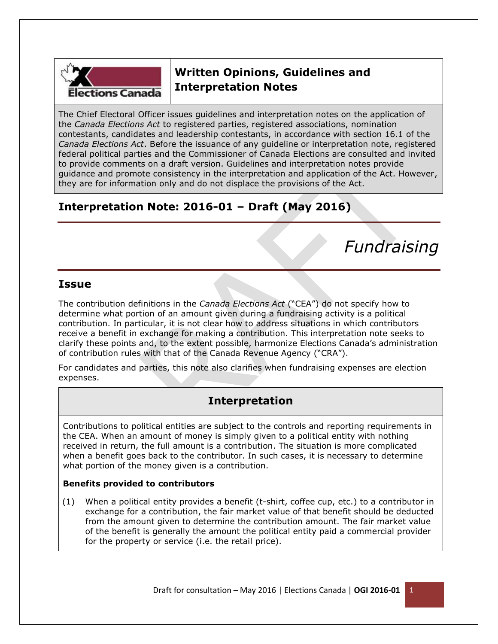

# **Written Opinions, Guidelines and Interpretation Notes**

The Chief Electoral Officer issues guidelines and interpretation notes on the application of the *Canada Elections Act* to registered parties, registered associations, nomination contestants, candidates and leadership contestants, in accordance with section 16.1 of the *Canada Elections Act*. Before the issuance of any guideline or interpretation note, registered federal political parties and the Commissioner of Canada Elections are consulted and invited to provide comments on a draft version. Guidelines and interpretation notes provide guidance and promote consistency in the interpretation and application of the Act. However, they are for information only and do not displace the provisions of the Act.

## **Interpretation Note: 2016-01 – Draft (May 2016)**

*Fundraising*

## **Issue**

The contribution definitions in the *Canada Elections Act* ("CEA") do not specify how to determine what portion of an amount given during a fundraising activity is a political contribution. In particular, it is not clear how to address situations in which contributors receive a benefit in exchange for making a contribution. This interpretation note seeks to clarify these points and, to the extent possible, harmonize Elections Canada's administration of contribution rules with that of the Canada Revenue Agency ("CRA").

For candidates and parties, this note also clarifies when fundraising expenses are election expenses.

## **Interpretation**

Contributions to political entities are subject to the controls and reporting requirements in the CEA. When an amount of money is simply given to a political entity with nothing received in return, the full amount is a contribution. The situation is more complicated when a benefit goes back to the contributor. In such cases, it is necessary to determine what portion of the money given is a contribution.

## **Benefits provided to contributors**

(1) When a political entity provides a benefit (t-shirt, coffee cup, etc.) to a contributor in exchange for a contribution, the fair market value of that benefit should be deducted from the amount given to determine the contribution amount. The fair market value of the benefit is generally the amount the political entity paid a commercial provider for the property or service (i.e. the retail price).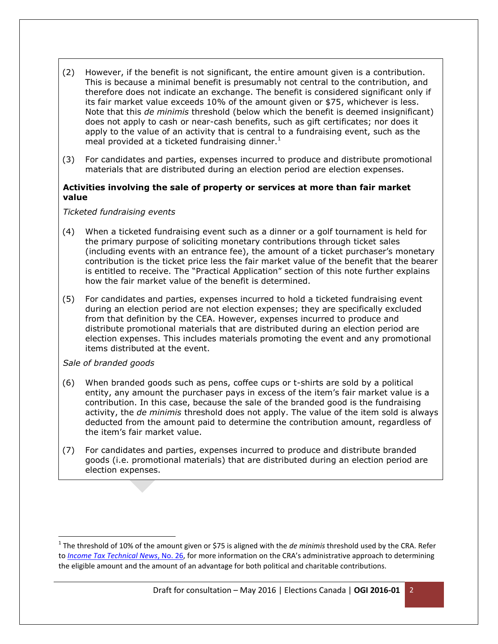- (2) However, if the benefit is not significant, the entire amount given is a contribution. This is because a minimal benefit is presumably not central to the contribution, and therefore does not indicate an exchange. The benefit is considered significant only if its fair market value exceeds 10% of the amount given or \$75, whichever is less. Note that this *de minimis* threshold (below which the benefit is deemed insignificant) does not apply to cash or near-cash benefits, such as gift certificates; nor does it apply to the value of an activity that is central to a fundraising event, such as the meal provided at a ticketed fundraising dinner. $<sup>1</sup>$ </sup>
- (3) For candidates and parties, expenses incurred to produce and distribute promotional materials that are distributed during an election period are election expenses.

## **Activities involving the sale of property or services at more than fair market value**

## *Ticketed fundraising events*

- (4) When a ticketed fundraising event such as a dinner or a golf tournament is held for the primary purpose of soliciting monetary contributions through ticket sales (including events with an entrance fee), the amount of a ticket purchaser's monetary contribution is the ticket price less the fair market value of the benefit that the bearer is entitled to receive. The "Practical Application" section of this note further explains how the fair market value of the benefit is determined.
- (5) For candidates and parties, expenses incurred to hold a ticketed fundraising event during an election period are not election expenses; they are specifically excluded from that definition by the CEA. However, expenses incurred to produce and distribute promotional materials that are distributed during an election period are election expenses. This includes materials promoting the event and any promotional items distributed at the event.

## *Sale of branded goods*

 $\overline{\phantom{a}}$ 

- (6) When branded goods such as pens, coffee cups or t-shirts are sold by a political entity, any amount the purchaser pays in excess of the item's fair market value is a contribution. In this case, because the sale of the branded good is the fundraising activity, the *de minimis* threshold does not apply. The value of the item sold is always deducted from the amount paid to determine the contribution amount, regardless of the item's fair market value.
- (7) For candidates and parties, expenses incurred to produce and distribute branded goods (i.e. promotional materials) that are distributed during an election period are election expenses.

<sup>&</sup>lt;sup>1</sup> The threshold of 10% of the amount given or \$75 is aligned with the *de minimis* threshold used by the CRA. Refer to *[Income Tax Technical News](http://www.cra-arc.gc.ca/E/pub/tp/itnews-26/itnews-26-e.pdf)*, No. 26, for more information on the CRA's administrative approach to determining the eligible amount and the amount of an advantage for both political and charitable contributions.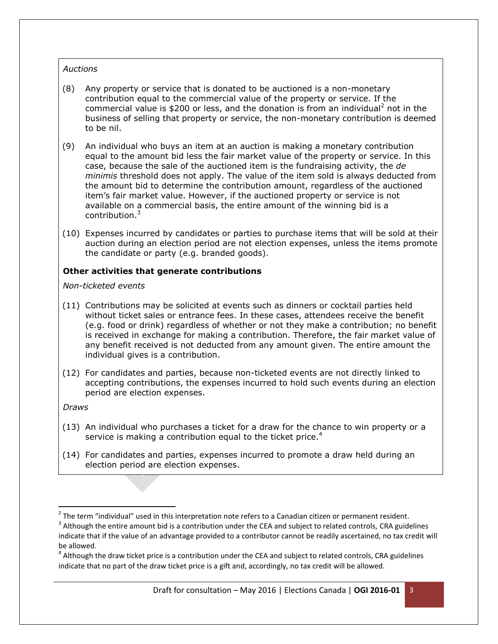## *Auctions*

- (8) Any property or service that is donated to be auctioned is a non-monetary contribution equal to the commercial value of the property or service. If the commercial value is \$200 or less, and the donation is from an individual<sup>2</sup> not in the business of selling that property or service, the non-monetary contribution is deemed to be nil.
- (9) An individual who buys an item at an auction is making a monetary contribution equal to the amount bid less the fair market value of the property or service. In this case, because the sale of the auctioned item is the fundraising activity, the *de minimis* threshold does not apply. The value of the item sold is always deducted from the amount bid to determine the contribution amount, regardless of the auctioned item's fair market value. However, if the auctioned property or service is not available on a commercial basis, the entire amount of the winning bid is a contribution. 3
- (10) Expenses incurred by candidates or parties to purchase items that will be sold at their auction during an election period are not election expenses, unless the items promote the candidate or party (e.g. branded goods).

## **Other activities that generate contributions**

*Non-ticketed events*

- (11) Contributions may be solicited at events such as dinners or cocktail parties held without ticket sales or entrance fees. In these cases, attendees receive the benefit (e.g. food or drink) regardless of whether or not they make a contribution; no benefit is received in exchange for making a contribution. Therefore, the fair market value of any benefit received is not deducted from any amount given. The entire amount the individual gives is a contribution.
- (12) For candidates and parties, because non-ticketed events are not directly linked to accepting contributions, the expenses incurred to hold such events during an election period are election expenses.

*Draws*

 $\overline{a}$ 

- (13) An individual who purchases a ticket for a draw for the chance to win property or a service is making a contribution equal to the ticket price. $4$
- (14) For candidates and parties, expenses incurred to promote a draw held during an election period are election expenses.

 $^{2}$  The term "individual" used in this interpretation note refers to a Canadian citizen or permanent resident.

 $^3$  Although the entire amount bid is a contribution under the CEA and subject to related controls, CRA guidelines indicate that if the value of an advantage provided to a contributor cannot be readily ascertained, no tax credit will be allowed.

 $^4$  Although the draw ticket price is a contribution under the CEA and subject to related controls, CRA guidelines indicate that no part of the draw ticket price is a gift and, accordingly, no tax credit will be allowed.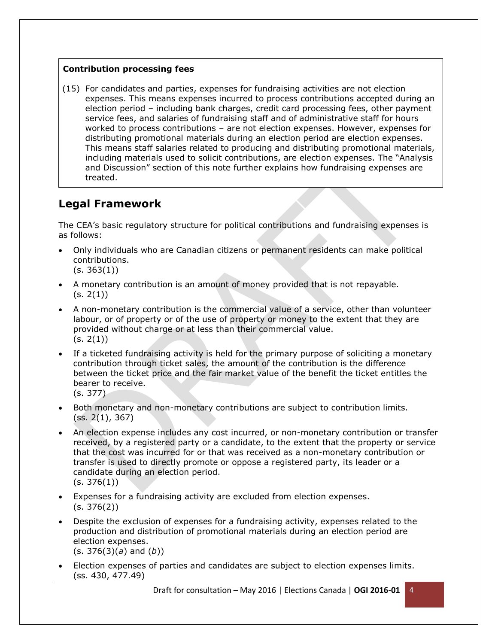## **Contribution processing fees**

(15) For candidates and parties, expenses for fundraising activities are not election expenses. This means expenses incurred to process contributions accepted during an election period – including bank charges, credit card processing fees, other payment service fees, and salaries of fundraising staff and of administrative staff for hours worked to process contributions – are not election expenses. However, expenses for distributing promotional materials during an election period are election expenses. This means staff salaries related to producing and distributing promotional materials, including materials used to solicit contributions, are election expenses. The "Analysis and Discussion" section of this note further explains how fundraising expenses are treated.

## **Legal Framework**

The CEA's basic regulatory structure for political contributions and fundraising expenses is as follows:

- Only individuals who are Canadian citizens or permanent residents can make political contributions.  $(s. 363(1))$
- A monetary contribution is an amount of money provided that is not repayable.  $(s. 2(1))$
- A non-monetary contribution is the commercial value of a service, other than volunteer labour, or of property or of the use of property or money to the extent that they are provided without charge or at less than their commercial value.  $(s. 2(1))$
- If a ticketed fundraising activity is held for the primary purpose of soliciting a monetary contribution through ticket sales, the amount of the contribution is the difference between the ticket price and the fair market value of the benefit the ticket entitles the bearer to receive. (s. 377)
- Both monetary and non-monetary contributions are subject to contribution limits. (ss. 2(1), 367)
- An election expense includes any cost incurred, or non-monetary contribution or transfer received, by a registered party or a candidate, to the extent that the property or service that the cost was incurred for or that was received as a non-monetary contribution or transfer is used to directly promote or oppose a registered party, its leader or a candidate during an election period.  $(s. 376(1))$
- Expenses for a fundraising activity are excluded from election expenses. (s. 376(2))
- Despite the exclusion of expenses for a fundraising activity, expenses related to the production and distribution of promotional materials during an election period are election expenses. (s. 376(3)(*a*) and (*b*))
- Election expenses of parties and candidates are subject to election expenses limits. (ss. 430, 477.49)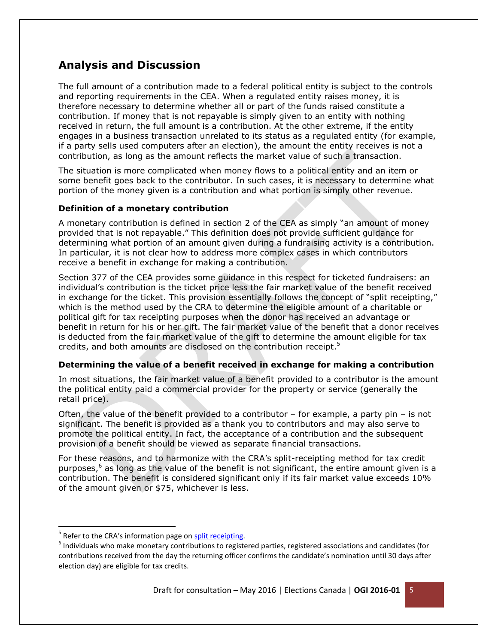## **Analysis and Discussion**

The full amount of a contribution made to a federal political entity is subject to the controls and reporting requirements in the CEA. When a regulated entity raises money, it is therefore necessary to determine whether all or part of the funds raised constitute a contribution. If money that is not repayable is simply given to an entity with nothing received in return, the full amount is a contribution. At the other extreme, if the entity engages in a business transaction unrelated to its status as a regulated entity (for example, if a party sells used computers after an election), the amount the entity receives is not a contribution, as long as the amount reflects the market value of such a transaction.

The situation is more complicated when money flows to a political entity and an item or some benefit goes back to the contributor. In such cases, it is necessary to determine what portion of the money given is a contribution and what portion is simply other revenue.

## **Definition of a monetary contribution**

A monetary contribution is defined in section 2 of the CEA as simply "an amount of money provided that is not repayable." This definition does not provide sufficient guidance for determining what portion of an amount given during a fundraising activity is a contribution. In particular, it is not clear how to address more complex cases in which contributors receive a benefit in exchange for making a contribution.

Section 377 of the CEA provides some guidance in this respect for ticketed fundraisers: an individual's contribution is the ticket price less the fair market value of the benefit received in exchange for the ticket. This provision essentially follows the concept of "split receipting," which is the method used by the CRA to determine the eligible amount of a charitable or political gift for tax receipting purposes when the donor has received an advantage or benefit in return for his or her gift. The fair market value of the benefit that a donor receives is deducted from the fair market value of the gift to determine the amount eligible for tax credits, and both amounts are disclosed on the contribution receipt.<sup>5</sup>

## **Determining the value of a benefit received in exchange for making a contribution**

In most situations, the fair market value of a benefit provided to a contributor is the amount the political entity paid a commercial provider for the property or service (generally the retail price).

Often, the value of the benefit provided to a contributor – for example, a party pin – is not significant. The benefit is provided as a thank you to contributors and may also serve to promote the political entity. In fact, the acceptance of a contribution and the subsequent provision of a benefit should be viewed as separate financial transactions.

For these reasons, and to harmonize with the CRA's split-receipting method for tax credit purposes,<sup>6</sup> as long as the value of the benefit is not significant, the entire amount given is a contribution. The benefit is considered significant only if its fair market value exceeds 10% of the amount given or \$75, whichever is less.

 $\overline{a}$ 

<sup>&</sup>lt;sup>5</sup> Refer to the CRA's information page on **split receipting**.

 $^6$  Individuals who make monetary contributions to registered parties, registered associations and candidates (for contributions received from the day the returning officer confirms the candidate's nomination until 30 days after election day) are eligible for tax credits.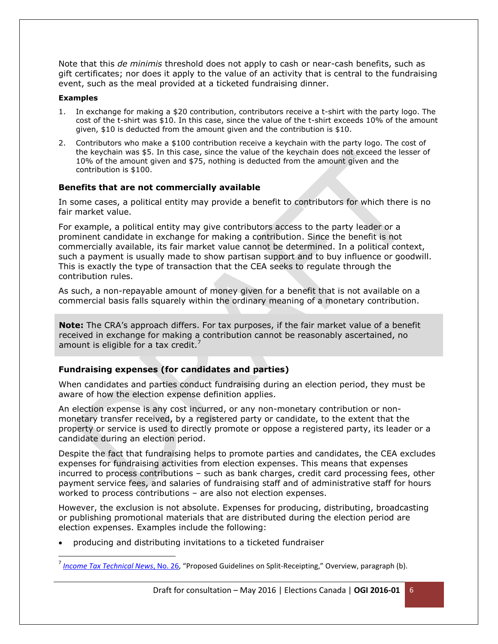Note that this *de minimis* threshold does not apply to cash or near-cash benefits, such as gift certificates; nor does it apply to the value of an activity that is central to the fundraising event, such as the meal provided at a ticketed fundraising dinner.

### **Examples**

 $\overline{a}$ 

- 1. In exchange for making a \$20 contribution, contributors receive a t-shirt with the party logo. The cost of the t-shirt was \$10. In this case, since the value of the t-shirt exceeds 10% of the amount given, \$10 is deducted from the amount given and the contribution is \$10.
- 2. Contributors who make a \$100 contribution receive a keychain with the party logo. The cost of the keychain was \$5. In this case, since the value of the keychain does not exceed the lesser of 10% of the amount given and \$75, nothing is deducted from the amount given and the contribution is \$100.

## **Benefits that are not commercially available**

In some cases, a political entity may provide a benefit to contributors for which there is no fair market value.

For example, a political entity may give contributors access to the party leader or a prominent candidate in exchange for making a contribution. Since the benefit is not commercially available, its fair market value cannot be determined. In a political context, such a payment is usually made to show partisan support and to buy influence or goodwill. This is exactly the type of transaction that the CEA seeks to regulate through the contribution rules.

As such, a non-repayable amount of money given for a benefit that is not available on a commercial basis falls squarely within the ordinary meaning of a monetary contribution.

**Note:** The CRA's approach differs. For tax purposes, if the fair market value of a benefit received in exchange for making a contribution cannot be reasonably ascertained, no amount is eligible for a tax credit. $\prime$ 

## **Fundraising expenses (for candidates and parties)**

When candidates and parties conduct fundraising during an election period, they must be aware of how the election expense definition applies.

An election expense is any cost incurred, or any non-monetary contribution or nonmonetary transfer received, by a registered party or candidate, to the extent that the property or service is used to directly promote or oppose a registered party, its leader or a candidate during an election period.

Despite the fact that fundraising helps to promote parties and candidates, the CEA excludes expenses for fundraising activities from election expenses. This means that expenses incurred to process contributions – such as bank charges, credit card processing fees, other payment service fees, and salaries of fundraising staff and of administrative staff for hours worked to process contributions – are also not election expenses.

However, the exclusion is not absolute. Expenses for producing, distributing, broadcasting or publishing promotional materials that are distributed during the election period are election expenses. Examples include the following:

producing and distributing invitations to a ticketed fundraiser

<sup>7</sup> *[Income Tax Technical News](http://www.cra-arc.gc.ca/E/pub/tp/itnews-26/itnews-26-e.pdf)*, No. 26, "Proposed Guidelines on Split-Receipting," Overview, paragraph (b).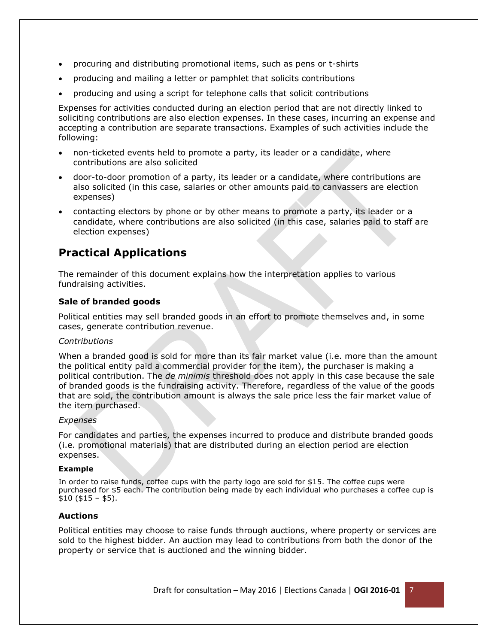- procuring and distributing promotional items, such as pens or t-shirts
- producing and mailing a letter or pamphlet that solicits contributions
- producing and using a script for telephone calls that solicit contributions

Expenses for activities conducted during an election period that are not directly linked to soliciting contributions are also election expenses. In these cases, incurring an expense and accepting a contribution are separate transactions. Examples of such activities include the following:

- non-ticketed events held to promote a party, its leader or a candidate, where contributions are also solicited
- door-to-door promotion of a party, its leader or a candidate, where contributions are also solicited (in this case, salaries or other amounts paid to canvassers are election expenses)
- contacting electors by phone or by other means to promote a party, its leader or a candidate, where contributions are also solicited (in this case, salaries paid to staff are election expenses)

## **Practical Applications**

The remainder of this document explains how the interpretation applies to various fundraising activities.

## **Sale of branded goods**

Political entities may sell branded goods in an effort to promote themselves and, in some cases, generate contribution revenue.

## *Contributions*

When a branded good is sold for more than its fair market value (i.e. more than the amount the political entity paid a commercial provider for the item), the purchaser is making a political contribution. The *de minimis* threshold does not apply in this case because the sale of branded goods is the fundraising activity. Therefore, regardless of the value of the goods that are sold, the contribution amount is always the sale price less the fair market value of the item purchased.

## *Expenses*

For candidates and parties, the expenses incurred to produce and distribute branded goods (i.e. promotional materials) that are distributed during an election period are election expenses.

#### **Example**

In order to raise funds, coffee cups with the party logo are sold for \$15. The coffee cups were purchased for \$5 each. The contribution being made by each individual who purchases a coffee cup is  $$10 ( $15 - $5).$ 

## **Auctions**

Political entities may choose to raise funds through auctions, where property or services are sold to the highest bidder. An auction may lead to contributions from both the donor of the property or service that is auctioned and the winning bidder.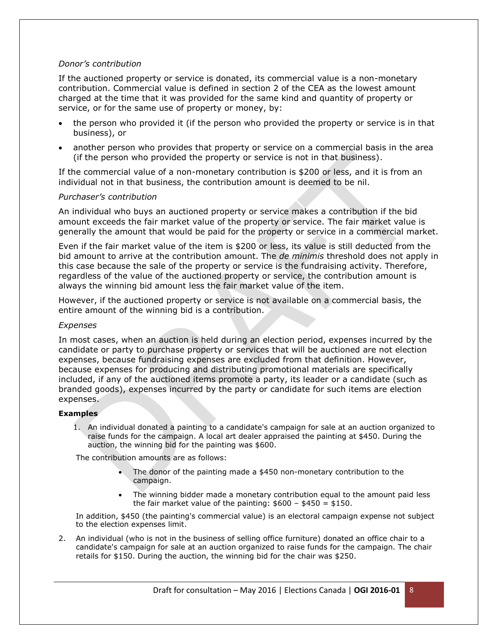#### *Donor's contribution*

If the auctioned property or service is donated, its commercial value is a non-monetary contribution. Commercial value is defined in section 2 of the CEA as the lowest amount charged at the time that it was provided for the same kind and quantity of property or service, or for the same use of property or money, by:

- the person who provided it (if the person who provided the property or service is in that business), or
- another person who provides that property or service on a commercial basis in the area (if the person who provided the property or service is not in that business).

If the commercial value of a non-monetary contribution is \$200 or less, and it is from an individual not in that business, the contribution amount is deemed to be nil.

#### *Purchaser's contribution*

An individual who buys an auctioned property or service makes a contribution if the bid amount exceeds the fair market value of the property or service. The fair market value is generally the amount that would be paid for the property or service in a commercial market.

Even if the fair market value of the item is \$200 or less, its value is still deducted from the bid amount to arrive at the contribution amount. The *de minimis* threshold does not apply in this case because the sale of the property or service is the fundraising activity. Therefore, regardless of the value of the auctioned property or service, the contribution amount is always the winning bid amount less the fair market value of the item.

However, if the auctioned property or service is not available on a commercial basis, the entire amount of the winning bid is a contribution.

#### *Expenses*

In most cases, when an auction is held during an election period, expenses incurred by the candidate or party to purchase property or services that will be auctioned are not election expenses, because fundraising expenses are excluded from that definition. However, because expenses for producing and distributing promotional materials are specifically included, if any of the auctioned items promote a party, its leader or a candidate (such as branded goods), expenses incurred by the party or candidate for such items are election expenses.

#### **Examples**

1. An individual donated a painting to a candidate's campaign for sale at an auction organized to raise funds for the campaign. A local art dealer appraised the painting at \$450. During the auction, the winning bid for the painting was \$600.

The contribution amounts are as follows:

- The donor of the painting made a \$450 non-monetary contribution to the campaign.
- The winning bidder made a monetary contribution equal to the amount paid less the fair market value of the painting:  $$600 - $450 = $150$ .

In addition, \$450 (the painting's commercial value) is an electoral campaign expense not subject to the election expenses limit.

2. An individual (who is not in the business of selling office furniture) donated an office chair to a candidate's campaign for sale at an auction organized to raise funds for the campaign. The chair retails for \$150. During the auction, the winning bid for the chair was \$250.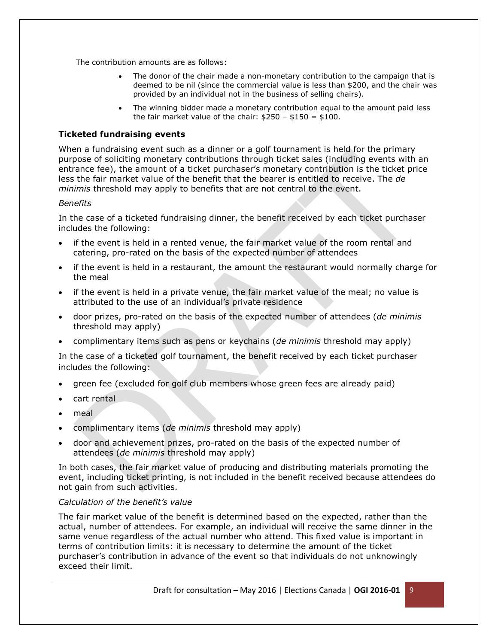The contribution amounts are as follows:

- The donor of the chair made a non-monetary contribution to the campaign that is deemed to be nil (since the commercial value is less than \$200, and the chair was provided by an individual not in the business of selling chairs).
- The winning bidder made a monetary contribution equal to the amount paid less the fair market value of the chair:  $$250 - $150 = $100$ .

## **Ticketed fundraising events**

When a fundraising event such as a dinner or a golf tournament is held for the primary purpose of soliciting monetary contributions through ticket sales (including events with an entrance fee), the amount of a ticket purchaser's monetary contribution is the ticket price less the fair market value of the benefit that the bearer is entitled to receive. The *de minimis* threshold may apply to benefits that are not central to the event.

## *Benefits*

In the case of a ticketed fundraising dinner, the benefit received by each ticket purchaser includes the following:

- if the event is held in a rented venue, the fair market value of the room rental and catering, pro-rated on the basis of the expected number of attendees
- if the event is held in a restaurant, the amount the restaurant would normally charge for the meal
- if the event is held in a private venue, the fair market value of the meal; no value is attributed to the use of an individual's private residence
- door prizes, pro-rated on the basis of the expected number of attendees (*de minimis* threshold may apply)
- complimentary items such as pens or keychains (*de minimis* threshold may apply)

In the case of a ticketed golf tournament, the benefit received by each ticket purchaser includes the following:

- green fee (excluded for golf club members whose green fees are already paid)
- cart rental
- meal
- complimentary items (*de minimis* threshold may apply)
- door and achievement prizes, pro-rated on the basis of the expected number of attendees (*de minimis* threshold may apply)

In both cases, the fair market value of producing and distributing materials promoting the event, including ticket printing, is not included in the benefit received because attendees do not gain from such activities.

#### *Calculation of the benefit's value*

The fair market value of the benefit is determined based on the expected, rather than the actual, number of attendees. For example, an individual will receive the same dinner in the same venue regardless of the actual number who attend. This fixed value is important in terms of contribution limits: it is necessary to determine the amount of the ticket purchaser's contribution in advance of the event so that individuals do not unknowingly exceed their limit.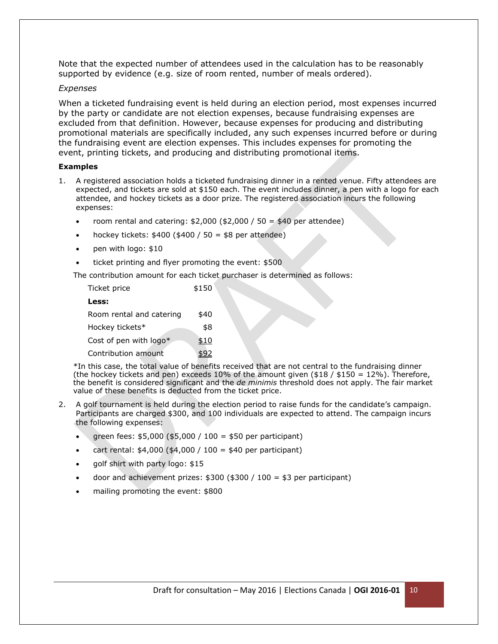Note that the expected number of attendees used in the calculation has to be reasonably supported by evidence (e.g. size of room rented, number of meals ordered).

#### *Expenses*

When a ticketed fundraising event is held during an election period, most expenses incurred by the party or candidate are not election expenses, because fundraising expenses are excluded from that definition. However, because expenses for producing and distributing promotional materials are specifically included, any such expenses incurred before or during the fundraising event are election expenses. This includes expenses for promoting the event, printing tickets, and producing and distributing promotional items.

#### **Examples**

- 1. A registered association holds a ticketed fundraising dinner in a rented venue. Fifty attendees are expected, and tickets are sold at \$150 each. The event includes dinner, a pen with a logo for each attendee, and hockey tickets as a door prize. The registered association incurs the following expenses:
	- room rental and catering:  $$2,000 ($2,000 / 50 = $40$  per attendee)
	- hockey tickets:  $$400 ($400 / 50 = $8$ per attendance)$
	- pen with logo: \$10
	- ticket printing and flyer promoting the event: \$500

The contribution amount for each ticket purchaser is determined as follows:

| Ticket price             | \$150 |
|--------------------------|-------|
| Less:                    |       |
| Room rental and catering | \$40  |
| Hockey tickets*          | \$8   |
| Cost of pen with logo*   | \$10  |
| Contribution amount      |       |

\*In this case, the total value of benefits received that are not central to the fundraising dinner (the hockey tickets and pen) exceeds 10% of the amount given  $(\$18 / \$150 = 12$ %). Therefore, the benefit is considered significant and the *de minimis* threshold does not apply. The fair market value of these benefits is deducted from the ticket price.

- 2. A golf tournament is held during the election period to raise funds for the candidate's campaign. Participants are charged \$300, and 100 individuals are expected to attend. The campaign incurs the following expenses:
	- green fees: \$5,000 (\$5,000 / 100 = \$50 per participant)
	- cart rental:  $$4,000$  ( $$4,000$  /  $100 = $40$  per participant)
	- golf shirt with party logo: \$15
	- door and achievement prizes:  $$300$  ( $$300$  /  $100 = $3$  per participant)
	- mailing promoting the event: \$800